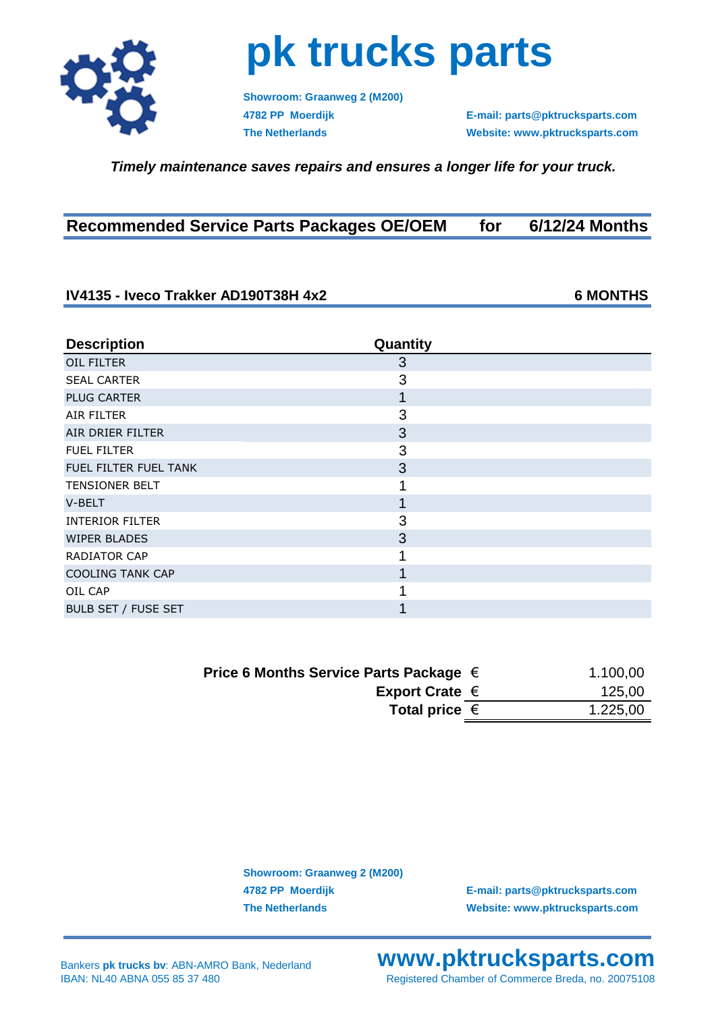

## **pk trucks parts**

**Showroom: Graanweg 2 (M200)**

**4782 PP Moerdijk E-mail: parts@pktrucksparts.com The Netherlands Website: www.pktrucksparts.com**

 *Timely maintenance saves repairs and ensures a longer life for your truck.*

| <b>Recommended Service Parts Packages OE/OEM</b> |  | for $6/12/24$ Months |
|--------------------------------------------------|--|----------------------|
|--------------------------------------------------|--|----------------------|

#### **IV4135 - Iveco Trakker AD190T38H 4x2 6 MONTHS**

| <b>Description</b>         | Quantity |  |
|----------------------------|----------|--|
| <b>OIL FILTER</b>          | 3        |  |
| <b>SEAL CARTER</b>         | 3        |  |
| <b>PLUG CARTER</b>         |          |  |
| AIR FILTER                 | 3        |  |
| AIR DRIER FILTER           | 3        |  |
| <b>FUEL FILTER</b>         | 3        |  |
| FUEL FILTER FUEL TANK      | 3        |  |
| <b>TENSIONER BELT</b>      |          |  |
| V-BELT                     |          |  |
| <b>INTERIOR FILTER</b>     | 3        |  |
| <b>WIPER BLADES</b>        | 3        |  |
| <b>RADIATOR CAP</b>        |          |  |
| <b>COOLING TANK CAP</b>    |          |  |
| OIL CAP                    |          |  |
| <b>BULB SET / FUSE SET</b> |          |  |

| 1.100,00 |
|----------|
| 125,00   |
| 1.225,00 |
|          |

**Showroom: Graanweg 2 (M200)**

**4782 PP Moerdijk E-mail: parts@pktrucksparts.com The Netherlands Website: www.pktrucksparts.com**

**www.pktrucksparts.com** Registered Chamber of Commerce Breda, no. 20075108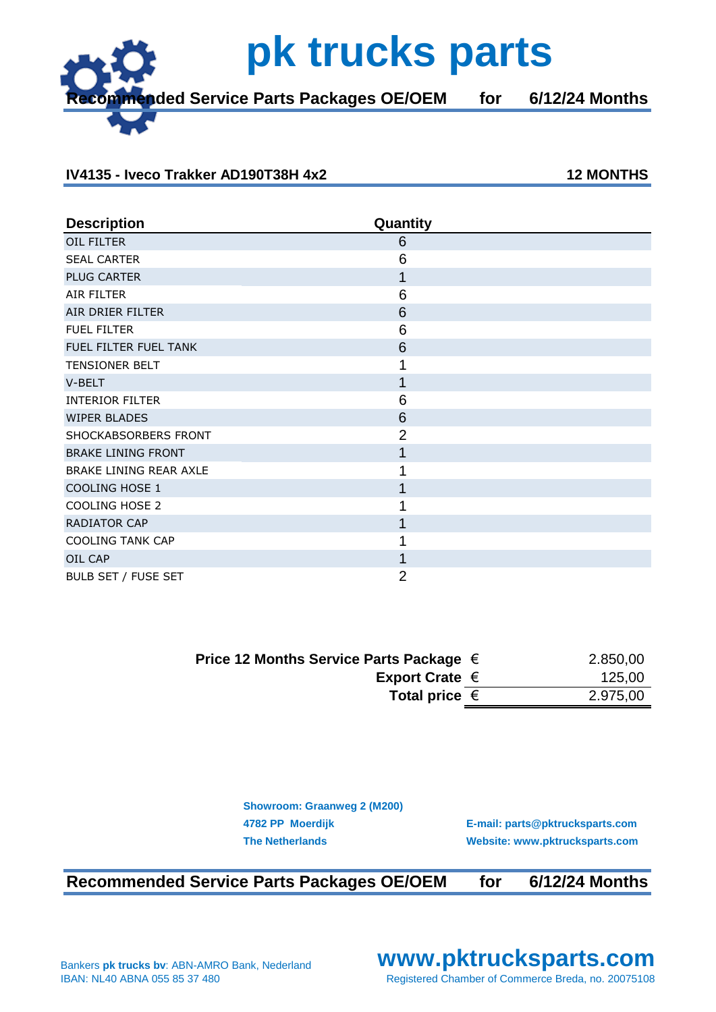**Read Service Parts Packages OE/OEM for 6/12/24 Months** 

 **pk trucks parts**

#### **IV4135 - Iveco Trakker AD190T38H 4x2**

| <b>Description</b>        | Quantity       |
|---------------------------|----------------|
| <b>OIL FILTER</b>         | 6              |
| <b>SEAL CARTER</b>        | 6              |
| <b>PLUG CARTER</b>        | 1              |
| <b>AIR FILTER</b>         | 6              |
| AIR DRIER FILTER          | 6              |
| <b>FUEL FILTER</b>        | 6              |
| FUEL FILTER FUEL TANK     | 6              |
| <b>TENSIONER BELT</b>     |                |
| V-BELT                    | 1              |
| <b>INTERIOR FILTER</b>    | 6              |
| <b>WIPER BLADES</b>       | 6              |
| SHOCKABSORBERS FRONT      | $\overline{2}$ |
| <b>BRAKE LINING FRONT</b> | 1              |
| BRAKE LINING REAR AXLE    |                |
| COOLING HOSE 1            |                |
| <b>COOLING HOSE 2</b>     |                |
| RADIATOR CAP              |                |
| <b>COOLING TANK CAP</b>   |                |
| OIL CAP                   |                |
| BULB SET / FUSE SET       | 2              |

| Price 12 Months Service Parts Package $\in$ | 2.850,00 |
|---------------------------------------------|----------|
| Export Crate $\epsilon$                     | 125,00   |
| Total price $\in$                           | 2.975,00 |

| <b>Showroom: Graanweg 2 (M200)</b> |                                 |
|------------------------------------|---------------------------------|
| 4782 PP Moerdijk                   | E-mail: parts@pktrucksparts.com |
| <b>The Netherlands</b>             | Website: www.pktrucksparts.com  |

**Recommended Service Parts Packages OE/OEM for 6/12/24 Months**